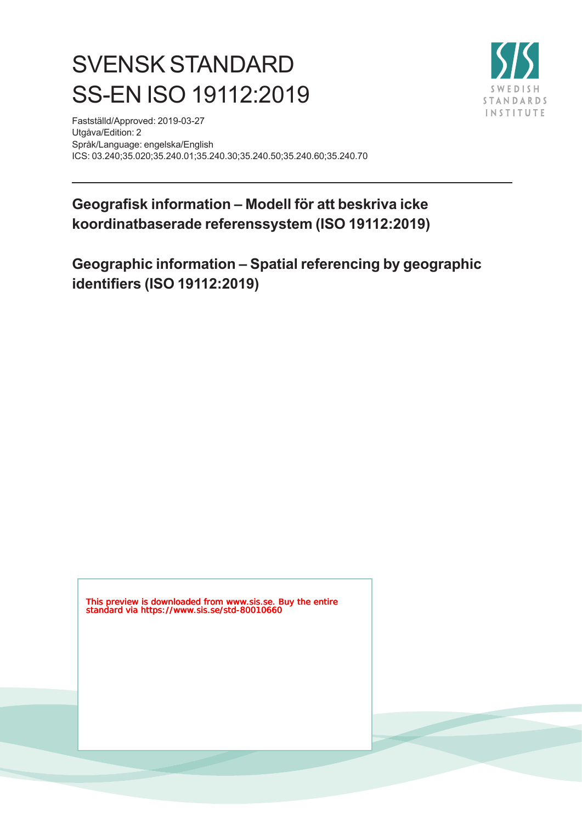# SVENSK STANDARD SS-EN ISO 19112:2019



Fastställd/Approved: 2019-03-27 Utgåva/Edition: 2 Språk/Language: engelska/English ICS: 03.240;35.020;35.240.01;35.240.30;35.240.50;35.240.60;35.240.70

**Geografisk information – Modell för att beskriva icke koordinatbaserade referenssystem (ISO 19112:2019)**

**Geographic information – Spatial referencing by geographic identifiers (ISO 19112:2019)**

This preview is downloaded from www.sis.se. Buy the entire standard via https://www.sis.se/std-80010660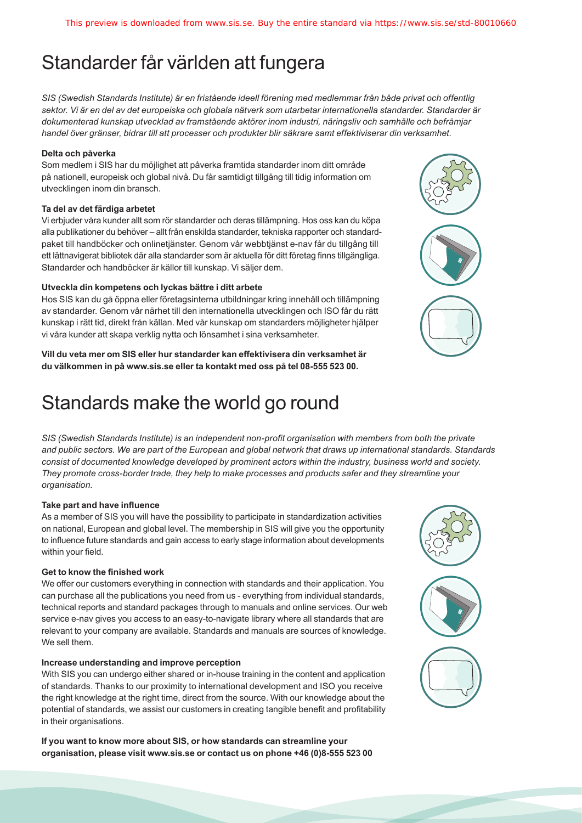# Standarder får världen att fungera

*SIS (Swedish Standards Institute) är en fristående ideell förening med medlemmar från både privat och offentlig sektor. Vi är en del av det europeiska och globala nätverk som utarbetar internationella standarder. Standarder är dokumenterad kunskap utvecklad av framstående aktörer inom industri, näringsliv och samhälle och befrämjar handel över gränser, bidrar till att processer och produkter blir säkrare samt effektiviserar din verksamhet.* 

#### **Delta och påverka**

Som medlem i SIS har du möjlighet att påverka framtida standarder inom ditt område på nationell, europeisk och global nivå. Du får samtidigt tillgång till tidig information om utvecklingen inom din bransch.

#### **Ta del av det färdiga arbetet**

Vi erbjuder våra kunder allt som rör standarder och deras tillämpning. Hos oss kan du köpa alla publikationer du behöver – allt från enskilda standarder, tekniska rapporter och standardpaket till handböcker och onlinetjänster. Genom vår webbtjänst e-nav får du tillgång till ett lättnavigerat bibliotek där alla standarder som är aktuella för ditt företag finns tillgängliga. Standarder och handböcker är källor till kunskap. Vi säljer dem.

#### **Utveckla din kompetens och lyckas bättre i ditt arbete**

Hos SIS kan du gå öppna eller företagsinterna utbildningar kring innehåll och tillämpning av standarder. Genom vår närhet till den internationella utvecklingen och ISO får du rätt kunskap i rätt tid, direkt från källan. Med vår kunskap om standarders möjligheter hjälper vi våra kunder att skapa verklig nytta och lönsamhet i sina verksamheter.

**Vill du veta mer om SIS eller hur standarder kan effektivisera din verksamhet är du välkommen in på www.sis.se eller ta kontakt med oss på tel 08-555 523 00.**

# Standards make the world go round

*SIS (Swedish Standards Institute) is an independent non-profit organisation with members from both the private and public sectors. We are part of the European and global network that draws up international standards. Standards consist of documented knowledge developed by prominent actors within the industry, business world and society. They promote cross-border trade, they help to make processes and products safer and they streamline your organisation.*

#### **Take part and have influence**

As a member of SIS you will have the possibility to participate in standardization activities on national, European and global level. The membership in SIS will give you the opportunity to influence future standards and gain access to early stage information about developments within your field.

#### **Get to know the finished work**

We offer our customers everything in connection with standards and their application. You can purchase all the publications you need from us - everything from individual standards, technical reports and standard packages through to manuals and online services. Our web service e-nav gives you access to an easy-to-navigate library where all standards that are relevant to your company are available. Standards and manuals are sources of knowledge. We sell them.

#### **Increase understanding and improve perception**

With SIS you can undergo either shared or in-house training in the content and application of standards. Thanks to our proximity to international development and ISO you receive the right knowledge at the right time, direct from the source. With our knowledge about the potential of standards, we assist our customers in creating tangible benefit and profitability in their organisations.

**If you want to know more about SIS, or how standards can streamline your organisation, please visit www.sis.se or contact us on phone +46 (0)8-555 523 00**



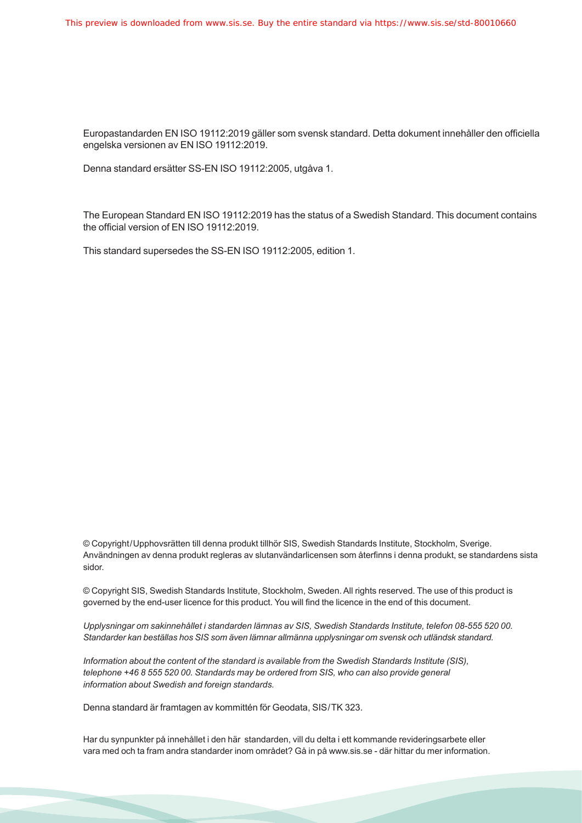Europastandarden EN ISO 19112:2019 gäller som svensk standard. Detta dokument innehåller den officiella engelska versionen av EN ISO 19112:2019.

Denna standard ersätter SS-EN ISO 19112:2005, utgåva 1.

The European Standard EN ISO 19112:2019 has the status of a Swedish Standard. This document contains the official version of EN ISO 19112:2019.

This standard supersedes the SS-EN ISO 19112:2005, edition 1.

© Copyright / Upphovsrätten till denna produkt tillhör SIS, Swedish Standards Institute, Stockholm, Sverige. Användningen av denna produkt regleras av slutanvändarlicensen som återfinns i denna produkt, se standardens sista sidor.

© Copyright SIS, Swedish Standards Institute, Stockholm, Sweden. All rights reserved. The use of this product is governed by the end-user licence for this product. You will find the licence in the end of this document.

*Upplysningar om sakinnehållet i standarden lämnas av SIS, Swedish Standards Institute, telefon 08-555 520 00. Standarder kan beställas hos SIS som även lämnar allmänna upplysningar om svensk och utländsk standard.*

*Information about the content of the standard is available from the Swedish Standards Institute (SIS), telephone +46 8 555 520 00. Standards may be ordered from SIS, who can also provide general information about Swedish and foreign standards.*

Denna standard är framtagen av kommittén för Geodata, SIS / TK 323.

Har du synpunkter på innehållet i den här standarden, vill du delta i ett kommande revideringsarbete eller vara med och ta fram andra standarder inom området? Gå in på www.sis.se - där hittar du mer information.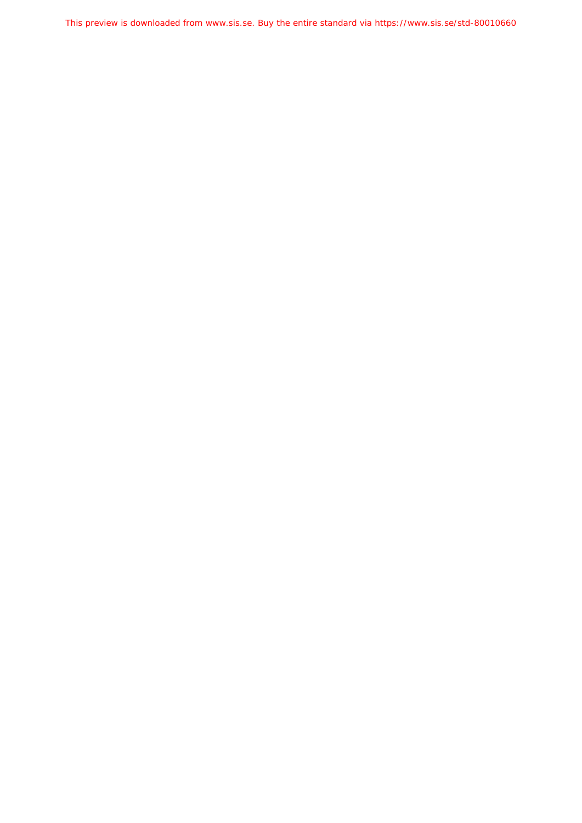This preview is downloaded from www.sis.se. Buy the entire standard via https://www.sis.se/std-80010660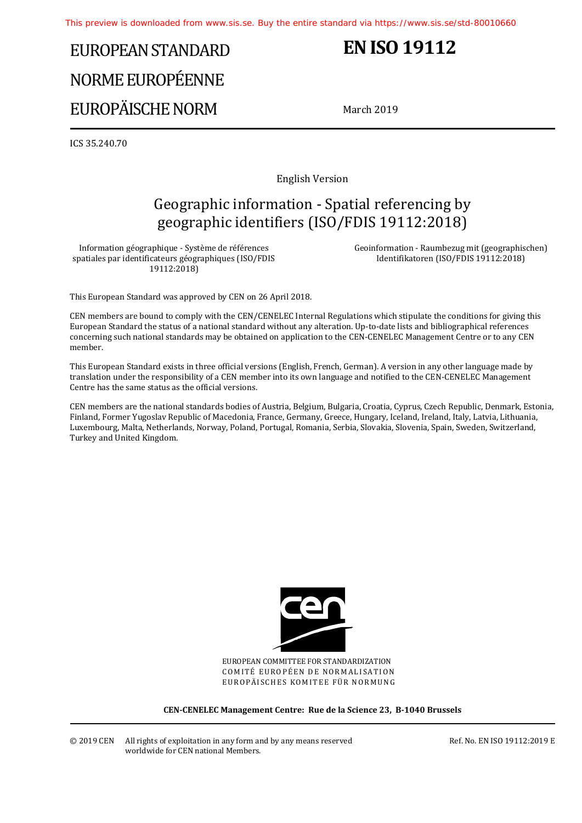# EUROPEAN STANDARD NORME EUROPÉENNE EUROPÄISCHE NORM

# **EN ISO 19112**

March 2019

ICS 35.240.70

English Version

## Geographic information - Spatial referencing by geographic identifiers (ISO/FDIS 19112:2018)

Information géographique - Système de références spatiales par identificateurs géographiques (ISO/FDIS 19112:2018)

 Geoinformation - Raumbezug mit (geographischen) Identifikatoren (ISO/FDIS 19112:2018)

This European Standard was approved by CEN on 26 April 2018.

CEN members are bound to comply with the CEN/CENELEC Internal Regulations which stipulate the conditions for giving this European Standard the status of a national standard without any alteration. Up-to-date lists and bibliographical references concerning such national standards may be obtained on application to the CEN-CENELEC Management Centre or to any CEN member.

This European Standard exists in three official versions (English, French, German). A version in any other language made by translation under the responsibility of a CEN member into its own language and notified to the CEN-CENELEC Management Centre has the same status as the official versions.

CEN members are the national standards bodies of Austria, Belgium, Bulgaria, Croatia, Cyprus, Czech Republic, Denmark, Estonia, Finland, Former Yugoslav Republic of Macedonia, France, Germany, Greece, Hungary, Iceland, Ireland, Italy, Latvia, Lithuania, Luxembourg, Malta, Netherlands, Norway, Poland, Portugal, Romania, Serbia, Slovakia, Slovenia, Spain, Sweden, Switzerland, Turkey and United Kingdom.



EUROPEAN COMMITTEE FOR STANDARDIZATION COMITÉ EUROPÉEN DE NORMALISATION EUROPÄISCHES KOMITEE FÜR NORMUNG

**CEN-CENELEC Management Centre: Rue de la Science 23, B-1040 Brussels** 

Ref. No. EN ISO 19112:2019 E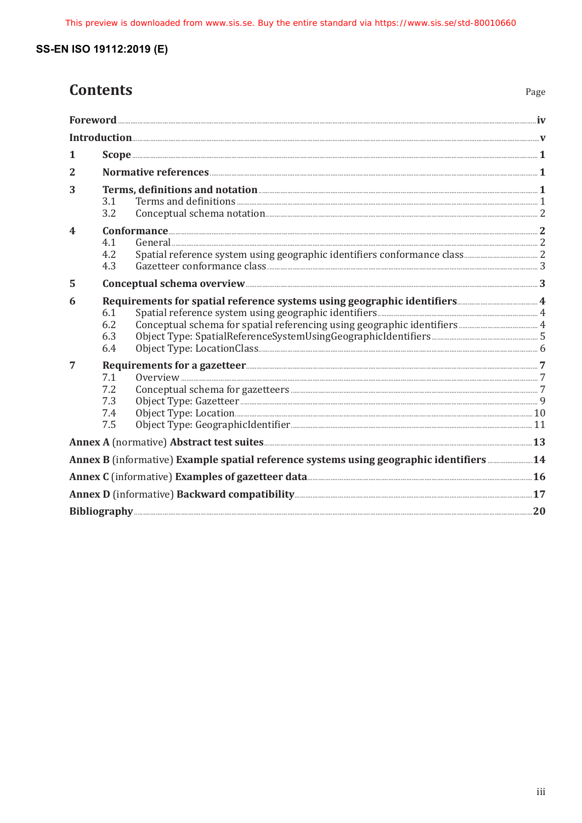## **Contents**

| 1              |                                                                                         |  |  |
|----------------|-----------------------------------------------------------------------------------------|--|--|
| $\overline{2}$ |                                                                                         |  |  |
| 3              | Terms, definitions and notation <b>Election 1</b><br>3.1<br>3.2                         |  |  |
| 4              | $Conformance 2$<br>4.1<br>4.2<br>4.3                                                    |  |  |
| 5              |                                                                                         |  |  |
| 6              | 6.1<br>6.2<br>6.3<br>6.4                                                                |  |  |
| 7              | 7.1<br>7.2<br>7.3<br>7.4<br>7.5                                                         |  |  |
|                |                                                                                         |  |  |
|                | Annex B (informative) Example spatial reference systems using geographic identifiers 14 |  |  |
|                |                                                                                         |  |  |
|                |                                                                                         |  |  |
|                |                                                                                         |  |  |

Page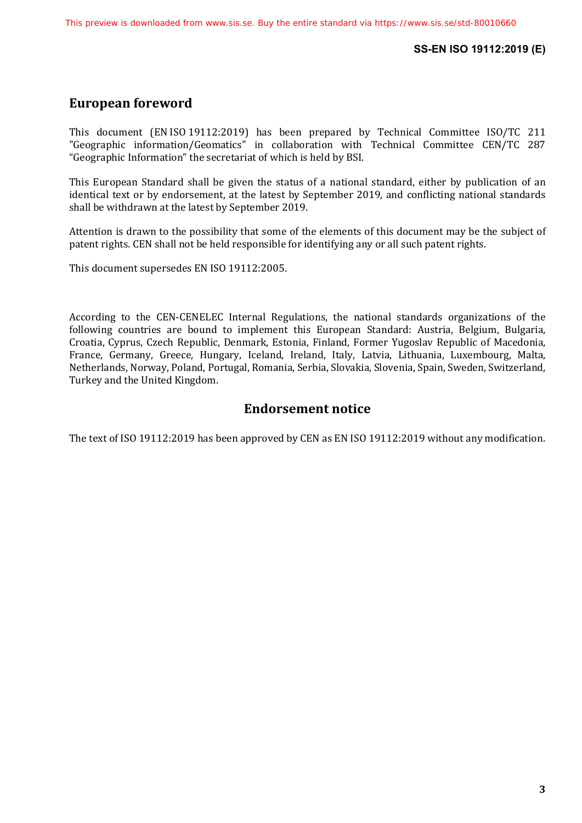## **European foreword**

This document (EN ISO 19112:2019) has been prepared by Technical Committee ISO/TC 211 "Geographic information/Geomatics" in collaboration with Technical Committee CEN/TC 287 "Geographic Information" the secretariat of which is held by BSI.

This European Standard shall be given the status of a national standard, either by publication of an identical text or by endorsement, at the latest by September 2019, and conflicting national standards shall be withdrawn at the latest by September 2019.

Attention is drawn to the possibility that some of the elements of this document may be the subject of patent rights. CEN shall not be held responsible for identifying any or all such patent rights.

This document supersedes EN ISO 19112:2005.

According to the CEN-CENELEC Internal Regulations, the national standards organizations of the following countries are bound to implement this European Standard: Austria, Belgium, Bulgaria, Croatia, Cyprus, Czech Republic, Denmark, Estonia, Finland, Former Yugoslav Republic of Macedonia, France, Germany, Greece, Hungary, Iceland, Ireland, Italy, Latvia, Lithuania, Luxembourg, Malta, Netherlands, Norway, Poland, Portugal, Romania, Serbia, Slovakia, Slovenia, Spain, Sweden, Switzerland, Turkey and the United Kingdom.

## **Endorsement notice**

The text of ISO 19112:2019 has been approved by CEN as EN ISO 19112:2019 without any modification.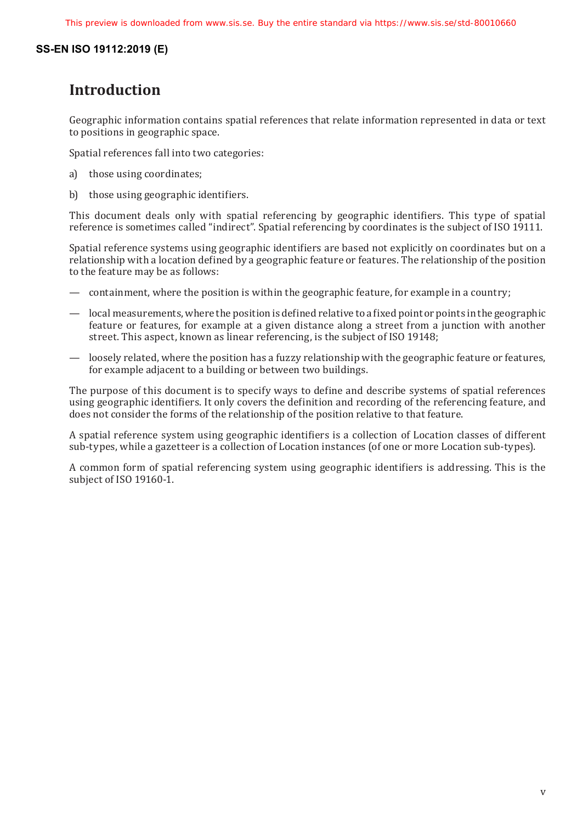## <span id="page-7-0"></span>**Introduction**

Geographic information contains spatial references that relate information represented in data or text to positions in geographic space.

Spatial references fall into two categories:

- a) those using coordinates;
- b) those using geographic identifiers.

This document deals only with spatial referencing by geographic identifiers. This type of spatial reference is sometimes called "indirect". Spatial referencing by coordinates is the subject of ISO 19111.

Spatial reference systems using geographic identifiers are based not explicitly on coordinates but on a relationship with a location defined by a geographic feature or features. The relationship of the position to the feature may be as follows:

- containment, where the position is within the geographic feature, for example in a country;
- local measurements, where the position is defined relative to a fixed point or points in the geographic feature or features, for example at a given distance along a street from a junction with another street. This aspect, known as linear referencing, is the subject of ISO 19148;
- loosely related, where the position has a fuzzy relationship with the geographic feature or features, for example adjacent to a building or between two buildings.

The purpose of this document is to specify ways to define and describe systems of spatial references using geographic identifiers. It only covers the definition and recording of the referencing feature, and does not consider the forms of the relationship of the position relative to that feature.

A spatial reference system using geographic identifiers is a collection of Location classes of different sub-types, while a gazetteer is a collection of Location instances (of one or more Location sub-types).

A common form of spatial referencing system using geographic identifiers is addressing. This is the subject of ISO 19160-1.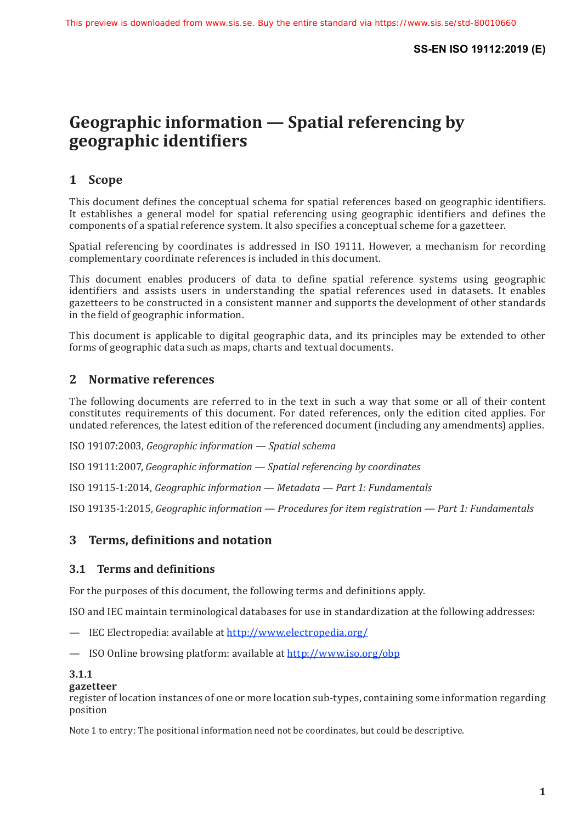# <span id="page-8-0"></span>**Geographic information — Spatial referencing by geographic identifiers**

## **1 Scope**

This document defines the conceptual schema for spatial references based on geographic identifiers. It establishes a general model for spatial referencing using geographic identifiers and defines the components of a spatial reference system. It also specifies a conceptual scheme for a gazetteer.

Spatial referencing by coordinates is addressed in ISO 19111. However, a mechanism for recording complementary coordinate references is included in this document.

This document enables producers of data to define spatial reference systems using geographic identifiers and assists users in understanding the spatial references used in datasets. It enables gazetteers to be constructed in a consistent manner and supports the development of other standards in the field of geographic information.

This document is applicable to digital geographic data, and its principles may be extended to other forms of geographic data such as maps, charts and textual documents.

## **2 Normative references**

The following documents are referred to in the text in such a way that some or all of their content constitutes requirements of this document. For dated references, only the edition cited applies. For undated references, the latest edition of the referenced document (including any amendments) applies.

ISO 19107:2003, *Geographic information — Spatial schema*

ISO 19111:2007, *Geographic information — Spatial referencing by coordinates*

ISO 19115-1:2014, *Geographic information — Metadata — Part 1: Fundamentals*

ISO 19135-1:2015, *Geographic information — Procedures for item registration — Part 1: Fundamentals*

## **3 Terms, definitions and notation**

## **3.1 Terms and definitions**

For the purposes of this document, the following terms and definitions apply.

ISO and IEC maintain terminological databases for use in standardization at the following addresses:

- IEC Electropedia: available at http://www[.electropedia](http://www.electropedia.org/).org/
- ISO Online browsing platform: available at <http://www.iso.org/obp>

### **3.1.1**

#### **gazetteer**

register of location instances of one or more location sub-types, containing some information regarding position

Note 1 to entry: The positional information need not be coordinates, but could be descriptive.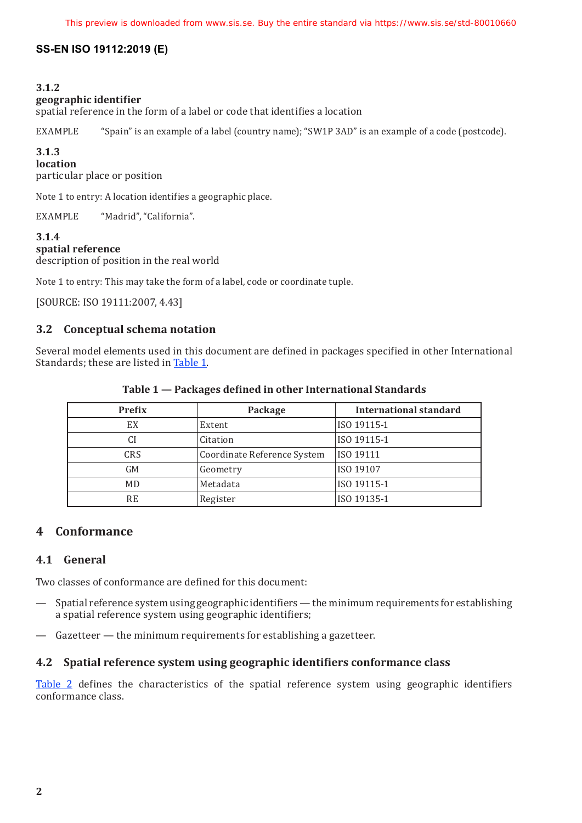#### <span id="page-9-0"></span>**3.1.2**

#### **geographic identifier**

spatial reference in the form of a label or code that identifies a location

EXAMPLE "Spain" is an example of a label (country name); "SW1P 3AD" is an example of a code (postcode).

#### **3.1.3**

#### **location**

particular place or position

Note 1 to entry: A location identifies a geographic place.

EXAMPLE "Madrid", "California".

#### **3.1.4 spatial reference**

description of position in the real world

Note 1 to entry: This may take the form of a label, code or coordinate tuple.

[SOURCE: ISO 19111:2007, 4.43]

#### **3.2 Conceptual schema notation**

Several model elements used in this document are defined in packages specified in other International Standards; these are listed in [Table](#page-9-1) 1.

| <b>Prefix</b> | Package                     | International standard |
|---------------|-----------------------------|------------------------|
| EX            | Extent                      | ISO 19115-1            |
| СI            | Citation                    | ISO 19115-1            |
| <b>CRS</b>    | Coordinate Reference System | ISO 19111              |
| <b>GM</b>     | Geometry                    | ISO 19107              |
| <b>MD</b>     | Metadata                    | ISO 19115-1            |
| RE            | Register                    | ISO 19135-1            |

#### <span id="page-9-1"></span>**Table 1 — Packages defined in other International Standards**

### **4 Conformance**

#### **4.1 General**

Two classes of conformance are defined for this document:

- Spatial reference system using geographic identifiers the minimum requirements for establishing a spatial reference system using geographic identifiers;
- Gazetteer the minimum requirements for establishing a gazetteer.

### **4.2 Spatial reference system using geographic identifiers conformance class**

[Table](#page-10-1) 2 defines the characteristics of the spatial reference system using geographic identifiers conformance class.